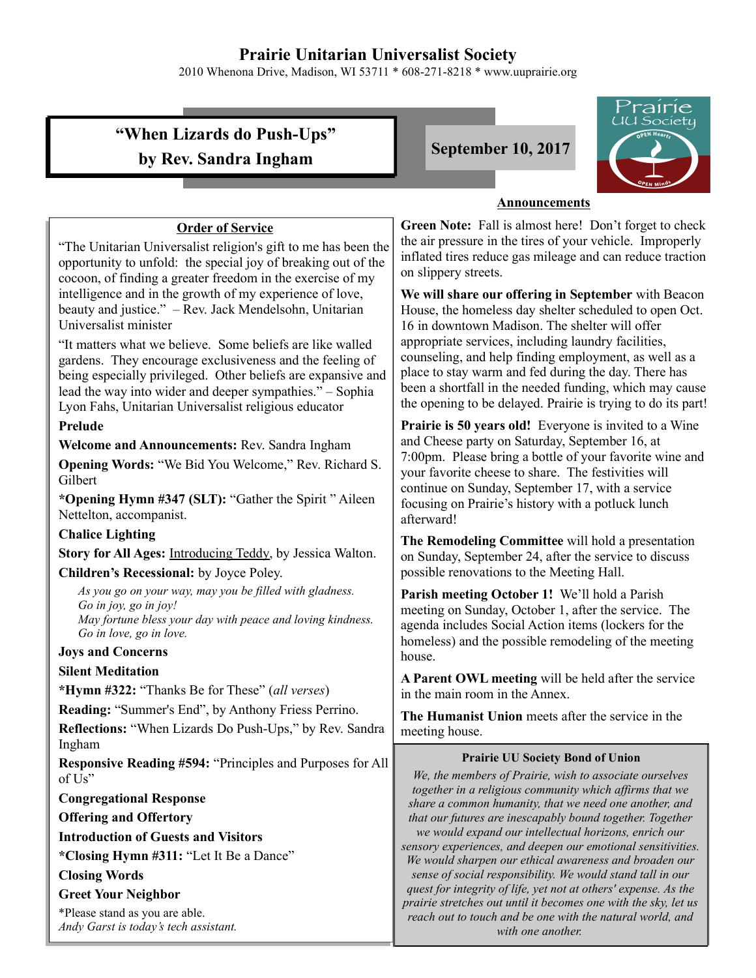# **Prairie Unitarian Universalist Society**

2010 Whenona Drive, Madison, WI 53711 \* 608-271-8218 \* www.uuprairie.org

# **"When Lizards do Push-Ups" by Rev. Sandra Ingham September 10, 2017**



#### **Announcements**

**Green Note:** Fall is almost here! Don't forget to check the air pressure in the tires of your vehicle. Improperly inflated tires reduce gas mileage and can reduce traction on slippery streets.

**We will share our offering in September** with Beacon House, the homeless day shelter scheduled to open Oct. 16 in downtown Madison. The shelter will offer appropriate services, including laundry facilities, counseling, and help finding employment, as well as a place to stay warm and fed during the day. There has been a shortfall in the needed funding, which may cause the opening to be delayed. Prairie is trying to do its part!

**Prairie is 50 years old!** Everyone is invited to a Wine and Cheese party on Saturday, September 16, at 7:00pm. Please bring a bottle of your favorite wine and your favorite cheese to share. The festivities will continue on Sunday, September 17, with a service focusing on Prairie's history with a potluck lunch afterward!

**The Remodeling Committee** will hold a presentation on Sunday, September 24, after the service to discuss possible renovations to the Meeting Hall.

**Parish meeting October 1!** We'll hold a Parish meeting on Sunday, October 1, after the service. The agenda includes Social Action items (lockers for the homeless) and the possible remodeling of the meeting house.

**A Parent OWL meeting** will be held after the service in the main room in the Annex.

**The Humanist Union** meets after the service in the meeting house.

#### **Prairie UU Society Bond of Union**

*We, the members of Prairie, wish to associate ourselves together in a religious community which affirms that we share a common humanity, that we need one another, and that our futures are inescapably bound together. Together we would expand our intellectual horizons, enrich our sensory experiences, and deepen our emotional sensitivities. We would sharpen our ethical awareness and broaden our sense of social responsibility. We would stand tall in our quest for integrity of life, yet not at others' expense. As the prairie stretches out until it becomes one with the sky, let us reach out to touch and be one with the natural world, and with one another.* 

### **Order of Service**

"The Unitarian Universalist religion's gift to me has been the opportunity to unfold: the special joy of breaking out of the cocoon, of finding a greater freedom in the exercise of my intelligence and in the growth of my experience of love, beauty and justice." – Rev. Jack Mendelsohn, Unitarian Universalist minister

"It matters what we believe. Some beliefs are like walled gardens. They encourage exclusiveness and the feeling of being especially privileged. Other beliefs are expansive and lead the way into wider and deeper sympathies." – Sophia Lyon Fahs, Unitarian Universalist religious educator

### **Prelude**

**Welcome and Announcements:** Rev. Sandra Ingham

**Opening Words:** "We Bid You Welcome," Rev. Richard S. Gilbert

**\*Opening Hymn #347 (SLT):** "Gather the Spirit " Aileen Nettelton, accompanist.

#### **Chalice Lighting**

**Story for All Ages:** Introducing Teddy, by Jessica Walton. **Children's Recessional:** by Joyce Poley.

*As you go on your way, may you be filled with gladness. Go in joy, go in joy! May fortune bless your day with peace and loving kindness. Go in love, go in love.*

#### **Joys and Concerns**

#### **Silent Meditation**

**\*Hymn #322:** "Thanks Be for These" (*all verses*)

**Reading:** "Summer's End", by Anthony Friess Perrino.

**Reflections:** "When Lizards Do Push-Ups," by Rev. Sandra Ingham

**Responsive Reading #594:** "Principles and Purposes for All of Us"

**Congregational Response**

**Offering and Offertory**

**Introduction of Guests and Visitors**

**\*Closing Hymn #311:** "Let It Be a Dance"

#### **Closing Words**

**Greet Your Neighbor**

\*Please stand as you are able. *Andy Garst is today's tech assistant.*